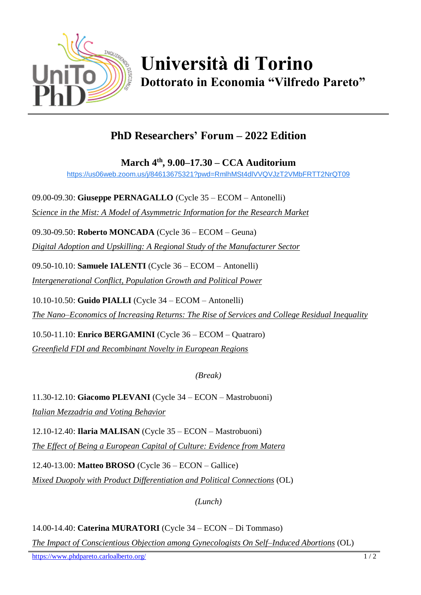

## **Università di Torino Dottorato in Economia "Vilfredo Pareto"**

## **PhD Researchers' Forum – 2022 Edition**

**March 4th , 9.00–17.30 – CCA Auditorium**

[https://us06web.zoom.us/j/84613675321?pwd=RmlhMSt4dlVVQVJzT2VMbFRTT2NrQT09](https://www.google.com/url?q=https://us06web.zoom.us/j/84613675321?pwd%3DRmlhMSt4dlVVQVJzT2VMbFRTT2NrQT09&sa=D&source=calendar&ust=1646561757533281&usg=AOvVaw3bqSSAG4Yr8NvQ_FSoVky2)

09.00-09.30: **Giuseppe PERNAGALLO** (Cycle 35 – ECOM – Antonelli) *Science in the Mist: A Model of Asymmetric Information for the Research Market*

09.30-09.50: **Roberto MONCADA** (Cycle 36 – ECOM – Geuna) *Digital Adoption and Upskilling: A Regional Study of the Manufacturer Sector*

09.50-10.10: **Samuele IALENTI** (Cycle 36 – ECOM – Antonelli) *Intergenerational Conflict, Population Growth and Political Power*

10.10-10.50: **Guido PIALLI** (Cycle 34 – ECOM – Antonelli)

*The Nano–Economics of Increasing Returns: The Rise of Services and College Residual Inequality*

10.50-11.10: **Enrico BERGAMINI** (Cycle 36 – ECOM – Quatraro) *Greenfield FDI and Recombinant Novelty in European Regions*

*(Break)*

11.30-12.10: **Giacomo PLEVANI** (Cycle 34 – ECON – Mastrobuoni) *Italian Mezzadria and Voting Behavior*

12.10-12.40: **Ilaria MALISAN** (Cycle 35 – ECON – Mastrobuoni) *The Effect of Being a European Capital of Culture: Evidence from Matera*

12.40-13.00: **Matteo BROSO** (Cycle 36 – ECON – Gallice) *Mixed Duopoly with Product Differentiation and Political Connections* (OL)

*(Lunch)*

14.00-14.40: **Caterina MURATORI** (Cycle 34 – ECON – Di Tommaso)

*The Impact of Conscientious Objection among Gynecologists On Self–Induced Abortions* (OL)